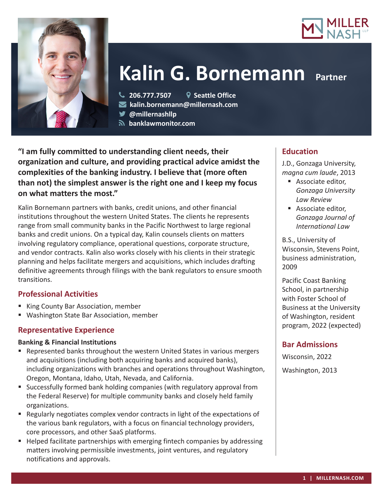



# **Kalin G. Bornemann Partner**

**206.777.7507 Seattle Office**

**kalin.bornemann@millernash.com** 

**@millernashllp** 

 **banklawmonitor.com**

**"I am fully committed to understanding client needs, their organization and culture, and providing practical advice amidst the complexities of the banking industry. I believe that (more often than not) the simplest answer is the right one and I keep my focus on what matters the most."**

Kalin Bornemann partners with banks, credit unions, and other financial institutions throughout the western United States. The clients he represents range from small community banks in the Pacific Northwest to large regional banks and credit unions. On a typical day, Kalin counsels clients on matters involving regulatory compliance, operational questions, corporate structure, and vendor contracts. Kalin also works closely with his clients in their strategic planning and helps facilitate mergers and acquisitions, which includes drafting definitive agreements through filings with the bank regulators to ensure smooth transitions.

## **Professional Activities**

- King County Bar Association, member
- Washington State Bar Association, member

## **Representative Experience**

#### **Banking & Financial Institutions**

- Represented banks throughout the western United States in various mergers and acquisitions (including both acquiring banks and acquired banks), including organizations with branches and operations throughout Washington, Oregon, Montana, Idaho, Utah, Nevada, and California.
- Successfully formed bank holding companies (with regulatory approval from the Federal Reserve) for multiple community banks and closely held family organizations.
- **Regularly negotiates complex vendor contracts in light of the expectations of** the various bank regulators, with a focus on financial technology providers, core processors, and other SaaS platforms.
- Helped facilitate partnerships with emerging fintech companies by addressing matters involving permissible investments, joint ventures, and regulatory notifications and approvals.

## **Education**

J.D., Gonzaga University, *magna cum laude*, 2013

- **Associate editor,** *Gonzaga University Law Review*
- **Associate editor,** *Gonzaga Journal of International Law*

B.S., University of Wisconsin, Stevens Point, business administration, 2009

Pacific Coast Banking School, in partnership with Foster School of Business at the University of Washington, resident program, 2022 (expected)

## **Bar Admissions**

Wisconsin, 2022 Washington, 2013